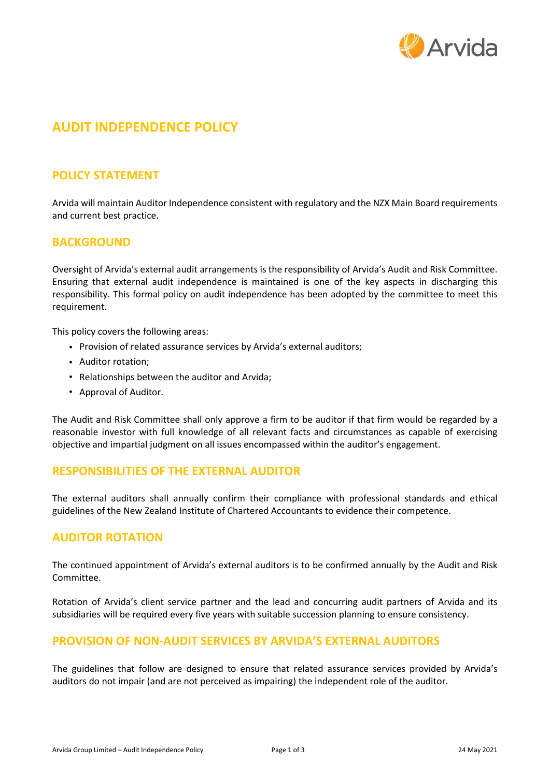

# **AUDIT INDEPENDENCE POLICY**

## **POLICY STATEMENT**

Arvida will maintain Auditor Independence consistent with regulatory and the NZX Main Board requirements and current best practice.

## **BACKGROUND**

Oversight of Arvida's external audit arrangements is the responsibility of Arvida's Audit and Risk Committee. Ensuring that external audit independence is maintained is one of the key aspects in discharging this responsibility. This formal policy on audit independence has been adopted by the committee to meet this requirement.

This policy covers the following areas:

- Provision of related assurance services by Arvida's external auditors;
- Auditor rotation;
- Relationships between the auditor and Arvida;
- Approval of Auditor.

The Audit and Risk Committee shall only approve a firm to be auditor if that firm would be regarded by a reasonable investor with full knowledge of all relevant facts and circumstances as capable of exercising objective and impartial judgment on all issues encompassed within the auditor's engagement.

#### **RESPONSIBILITIES OF THE EXTERNAL AUDITOR**

The external auditors shall annually confirm their compliance with professional standards and ethical guidelines of the New Zealand Institute of Chartered Accountants to evidence their competence.

#### **AUDITOR ROTATION**

The continued appointment of Arvida's external auditors is to be confirmed annually by the Audit and Risk Committee.

Rotation of Arvida's client service partner and the lead and concurring audit partners of Arvida and its subsidiaries will be required every five years with suitable succession planning to ensure consistency.

## **PROVISION OF NON-AUDIT SERVICES BY ARVIDA'S EXTERNAL AUDITORS**

The guidelines that follow are designed to ensure that related assurance services provided by Arvida's auditors do not impair (and are not perceived as impairing) the independent role of the auditor.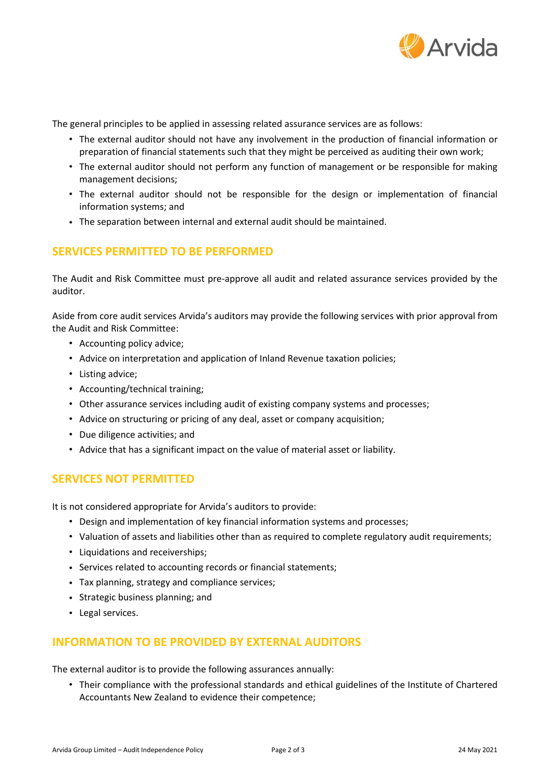

The general principles to be applied in assessing related assurance services are as follows:

- The external auditor should not have any involvement in the production of financial information or preparation of financial statements such that they might be perceived as auditing their own work;
- The external auditor should not perform any function of management or be responsible for making management decisions;
- The external auditor should not be responsible for the design or implementation of financial information systems; and
- The separation between internal and external audit should be maintained.

## **SERVICES PERMITTED TO BE PERFORMED**

The Audit and Risk Committee must pre-approve all audit and related assurance services provided by the auditor.

Aside from core audit services Arvida's auditors may provide the following services with prior approval from the Audit and Risk Committee:

- Accounting policy advice;
- Advice on interpretation and application of Inland Revenue taxation policies;
- Listing advice;
- Accounting/technical training;
- Other assurance services including audit of existing company systems and processes;
- Advice on structuring or pricing of any deal, asset or company acquisition;
- Due diligence activities; and
- Advice that has a significant impact on the value of material asset or liability.

#### **SERVICES NOT PERMITTED**

It is not considered appropriate for Arvida's auditors to provide:

- Design and implementation of key financial information systems and processes;
- Valuation of assets and liabilities other than as required to complete regulatory audit requirements;
- Liquidations and receiverships;
- Services related to accounting records or financial statements;
- Tax planning, strategy and compliance services;
- Strategic business planning; and
- Legal services.

## **INFORMATION TO BE PROVIDED BY EXTERNAL AUDITORS**

The external auditor is to provide the following assurances annually:

• Their compliance with the professional standards and ethical guidelines of the Institute of Chartered Accountants New Zealand to evidence their competence;